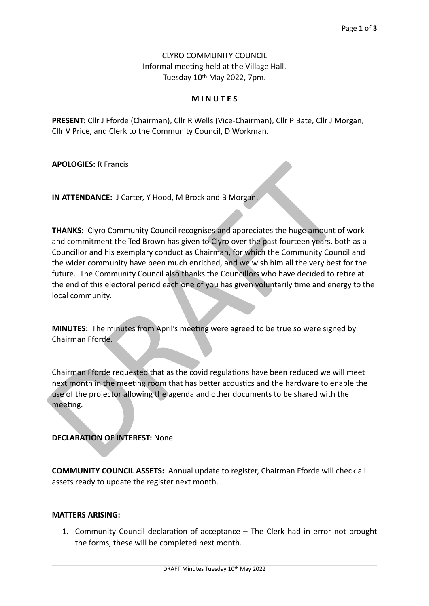CLYRO COMMUNITY COUNCIL Informal meeting held at the Village Hall. Tuesday 10th May 2022, 7pm.

# **M I N U T E S**

**PRESENT:** Cllr J Fforde (Chairman), Cllr R Wells (Vice-Chairman), Cllr P Bate, Cllr J Morgan, Cllr V Price, and Clerk to the Community Council, D Workman.

**APOLOGIES:** R Francis

**IN ATTENDANCE:** J Carter, Y Hood, M Brock and B Morgan.

**APOLOGIES:** R Francis<br> **IN ATTENDANCE:** J Carter, Y Hood, M Brock and B Morgan.<br> **THANKS:** Clyro Community Council recognises and appreciates the huge amount of<br>
and community man given has given to Clyro over the past fo **THANKS:** Clyro Community Council recognises and appreciates the huge amount of work and commitment the Ted Brown has given to Clyro over the past fourteen years, both as a Councillor and his exemplary conduct as Chairman, for which the Community Council and the wider community have been much enriched, and we wish him all the very best for the future. The Community Council also thanks the Councillors who have decided to retire at the end of this electoral period each one of you has given voluntarily time and energy to the local community.

**MINUTES:** The minutes from April's meeting were agreed to be true so were signed by Chairman Fforde.

Chairman Fforde requested that as the covid regulations have been reduced we will meet next month in the meeting room that has better acoustics and the hardware to enable the use of the projector allowing the agenda and other documents to be shared with the meeting.

## **DECLARATION OF INTEREST:** None

**COMMUNITY COUNCIL ASSETS:** Annual update to register, Chairman Fforde will check all assets ready to update the register next month.

#### **MATTERS ARISING:**

1. Community Council declaration of acceptance – The Clerk had in error not brought the forms, these will be completed next month.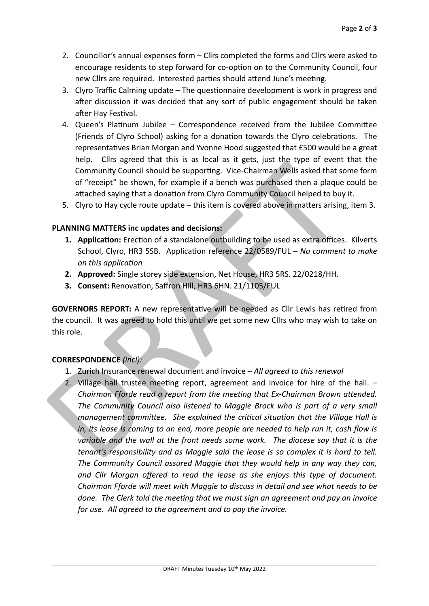- 2. Councillor's annual expenses form Cllrs completed the forms and Cllrs were asked to encourage residents to step forward for co-option on to the Community Council, four new Cllrs are required. Interested parties should attend June's meeting.
- 3. Clyro Traffic Calming update The questionnaire development is work in progress and after discussion it was decided that any sort of public engagement should be taken after Hay Festival.
- 4. Queen's Platinum Jubilee Correspondence received from the Jubilee Committee (Friends of Clyro School) asking for a donation towards the Clyro celebrations. The representatives Brian Morgan and Yvonne Hood suggested that £500 would be a great help. Cllrs agreed that this is as local as it gets, just the type of event that the Community Council should be supporting. Vice-Chairman Wells asked that some form of "receipt" be shown, for example if a bench was purchased then a plaque could be attached saying that a donation from Clyro Community Council helped to buy it.
- 5. Clyro to Hay cycle route update this item is covered above in matters arising, item 3.

## **PLANNING MATTERS inc updates and decisions:**

- **1. Application:** Erection of a standalone outbuilding to be used as extra offices. Kilverts School, Clyro, HR3 5SB. Application reference 22/0589/FUL – *No comment to make on this application*
- **2. Approved:** Single storey side extension, Net House, HR3 5RS. 22/0218/HH.
- **3. Consent:** Renovation, Saffron Hill, HR3 6HN. 21/1105/FUL

**GOVERNORS REPORT:** A new representative will be needed as Cllr Lewis has retired from the council. It was agreed to hold this until we get some new Cllrs who may wish to take on this role.

## **CORRESPONDENCE** *(incl):*

- 1. Zurich Insurance renewal document and invoice *All agreed to this renewal*
- From the signal unit and is a since that is a regist, just the type of event<br>Community Council should be supporting. Vice-Chairman Wells asked that so<br>of "receipt" be shown, for example if a bench was purchased then a pla 2. Village hall trustee meeting report, agreement and invoice for hire of the hall. – *Chairman Fforde read a report from the meeting that Ex-Chairman Brown attended. The Community Council also listened to Maggie Brock who is part of a very small management committee. She explained the critical situation that the Village Hall is in, its lease is coming to an end, more people are needed to help run it, cash flow is variable and the wall at the front needs some work. The diocese say that it is the tenant's responsibility and as Maggie said the lease is so complex it is hard to tell. The Community Council assured Maggie that they would help in any way they can, and Cllr Morgan offered to read the lease as she enjoys this type of document. Chairman Fforde will meet with Maggie to discuss in detail and see what needs to be done. The Clerk told the meeting that we must sign an agreement and pay an invoice for use. All agreed to the agreement and to pay the invoice.*